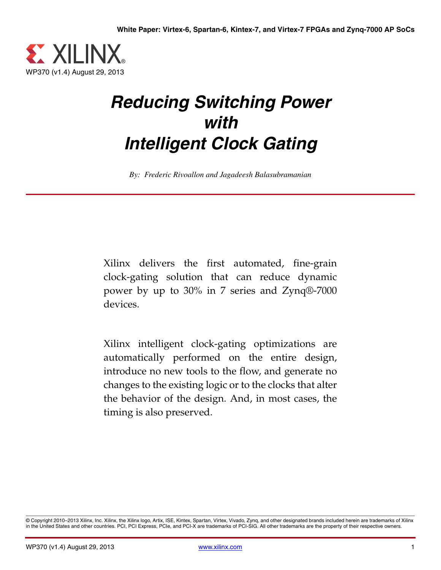

# *Reducing Switching Power with Intelligent Clock Gating*

*By: Frederic Rivoallon and Jagadeesh Balasubramanian*

Xilinx delivers the first automated, fine-grain clock-gating solution that can reduce dynamic power by up to 30% in 7 series and Zynq®-7000 devices.

Xilinx intelligent clock-gating optimizations are automatically performed on the entire design, introduce no new tools to the flow, and generate no changes to the existing logic or to the clocks that alter the behavior of the design. And, in most cases, the timing is also preserved.

© Copyright 2010–2013 Xilinx, Inc. Xilinx, the Xilinx logo, Artix, ISE, Kintex, Spartan, Virtex, Vivado, Zynq, and other designated brands included herein are trademarks of Xilinx<br>in the United States and other countries.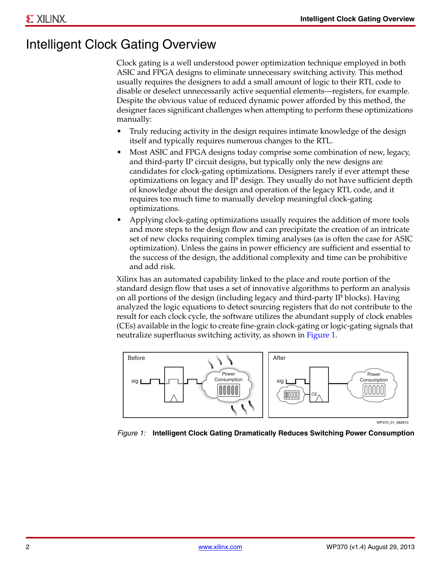### <span id="page-1-1"></span>Intelligent Clock Gating Overview

Clock gating is a well understood power optimization technique employed in both ASIC and FPGA designs to eliminate unnecessary switching activity. This method usually requires the designers to add a small amount of logic to their RTL code to disable or deselect unnecessarily active sequential elements—registers, for example. Despite the obvious value of reduced dynamic power afforded by this method, the designer faces significant challenges when attempting to perform these optimizations manually:

- Truly reducing activity in the design requires intimate knowledge of the design itself and typically requires numerous changes to the RTL.
- Most ASIC and FPGA designs today comprise some combination of new, legacy, and third-party IP circuit designs, but typically only the new designs are candidates for clock-gating optimizations. Designers rarely if ever attempt these optimizations on legacy and IP design. They usually do not have sufficient depth of knowledge about the design and operation of the legacy RTL code, and it requires too much time to manually develop meaningful clock-gating optimizations.
- Applying clock-gating optimizations usually requires the addition of more tools and more steps to the design flow and can precipitate the creation of an intricate set of new clocks requiring complex timing analyses (as is often the case for ASIC optimization). Unless the gains in power efficiency are sufficient and essential to the success of the design, the additional complexity and time can be prohibitive and add risk.

Xilinx has an automated capability linked to the place and route portion of the standard design flow that uses a set of innovative algorithms to perform an analysis on all portions of the design (including legacy and third-party IP blocks). Having analyzed the logic equations to detect sourcing registers that do not contribute to the result for each clock cycle, the software utilizes the abundant supply of clock enables (CEs) available in the logic to create fine-grain clock-gating or logic-gating signals that neutralize superfluous switching activity, as shown in [Figure 1.](#page-1-0)

<span id="page-1-0"></span>

WP370\_01\_062610

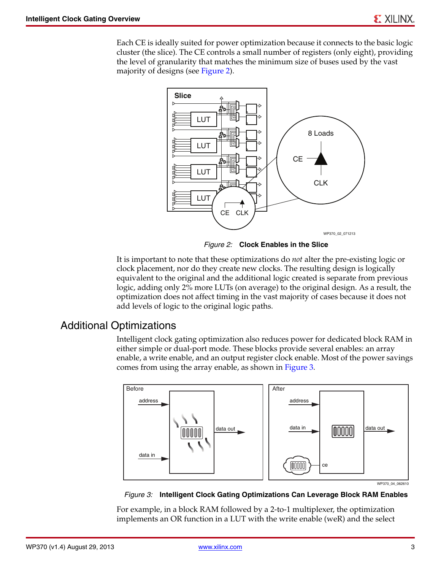<span id="page-2-0"></span>Each CE is ideally suited for power optimization because it connects to the basic logic cluster (the slice). The CE controls a small number of registers (only eight), providing the level of granularity that matches the minimum size of buses used by the vast majority of designs (see [Figure 2](#page-2-0)).



*Figure 2:* **Clock Enables in the Slice**

It is important to note that these optimizations do *not* alter the pre-existing logic or clock placement, nor do they create new clocks. The resulting design is logically equivalent to the original and the additional logic created is separate from previous logic, adding only 2% more LUTs (on average) to the original design. As a result, the optimization does not affect timing in the vast majority of cases because it does not add levels of logic to the original logic paths.

#### <span id="page-2-2"></span>Additional Optimizations

Intelligent clock gating optimization also reduces power for dedicated block RAM in either simple or dual-port mode. These blocks provide several enables: an array enable, a write enable, and an output register clock enable. Most of the power savings comes from using the array enable, as shown in [Figure 3](#page-2-1).

<span id="page-2-1"></span>

*Figure 3:* **Intelligent Clock Gating Optimizations Can Leverage Block RAM Enables**

For example, in a block RAM followed by a 2-to-1 multiplexer, the optimization implements an OR function in a LUT with the write enable (weR) and the select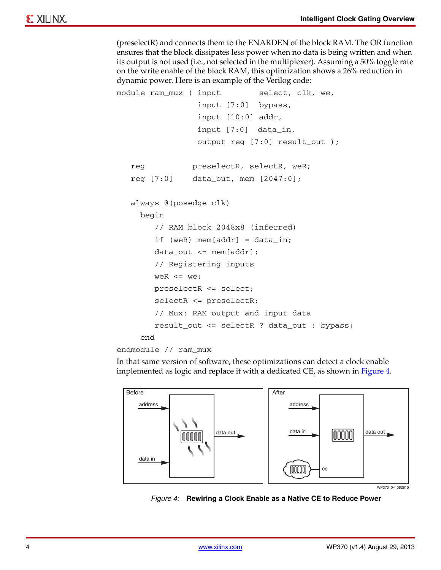(preselectR) and connects them to the ENARDEN of the block RAM. The OR function ensures that the block dissipates less power when no data is being written and when its output is not used (i.e., not selected in the multiplexer). Assuming a 50% toggle rate on the write enable of the block RAM, this optimization shows a 26% reduction in dynamic power. Here is an example of the Verilog code:

```
module ram_mux ( input select, clk, we,
                   input [7:0] bypass,
                   input [10:0] addr,
                   input [7:0] data_in, 
                   output reg [7:0] result_out );
    reg preselectR, selectR, weR; 
    reg [7:0] data_out, mem [2047:0];
    always @(posedge clk)
      begin
         // RAM block 2048x8 (inferred)
        if (weR) mem[addr] = data_in;
        data\_out \leq = \text{mem}[\text{addr}]; // Registering inputs
        weR \leq we;
         preselectR <= select;
         selectR <= preselectR;
         // Mux: RAM output and input data
         result_out <= selectR ? data_out : bypass;
      end
endmodule // ram_mux
```
In that same version of software, these optimizations can detect a clock enable implemented as logic and replace it with a dedicated CE, as shown in [Figure 4](#page-3-0).

<span id="page-3-0"></span>

WP370\_04\_062610

*Figure 4:* **Rewiring a Clock Enable as a Native CE to Reduce Power**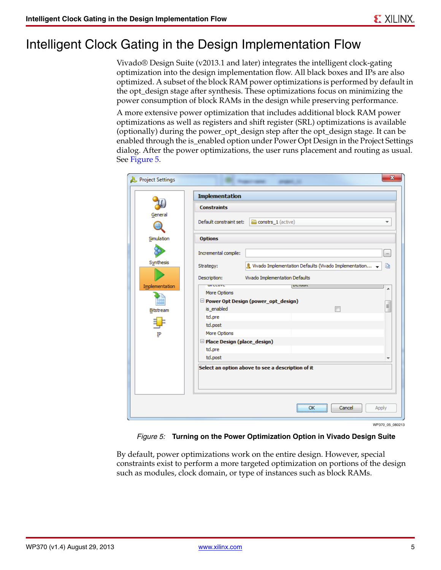# <span id="page-4-1"></span>Intelligent Clock Gating in the Design Implementation Flow

Vivado® Design Suite (v2013.1 and later) integrates the intelligent clock-gating optimization into the design implementation flow. All black boxes and IPs are also optimized. A subset of the block RAM power optimizations is performed by default in the opt\_design stage after synthesis. These optimizations focus on minimizing the power consumption of block RAMs in the design while preserving performance.

A more extensive power optimization that includes additional block RAM power optimizations as well as registers and shift register (SRL) optimizations is available (optionally) during the power\_opt\_design step after the opt\_design stage. It can be enabled through the is\_enabled option under Power Opt Design in the Project Settings dialog. After the power optimizations, the user runs placement and routing as usual. See [Figure 5.](#page-4-0)

<span id="page-4-0"></span>

| <b>Constraints</b><br>General<br>Default constraint set:<br>constrs_1 (active)<br>mm<br>Simulation<br><b>Options</b><br>Incremental compile:<br>Synthesis<br>& Vivado Implementation Defaults (Vivado Implementation ↓<br>Strategy:<br>Vivado Implementation Defaults<br>Description:<br><b>UIFCCUVC</b><br>Implementation<br>DUTUUR<br>More Options<br>$\frac{1010}{0001}$<br>Power Opt Design (power_opt_design)<br>is_enabled<br>Bitstream<br>tcl.pre<br>tcl.post<br>More Options<br>IP<br>$\Box$ Place Design (place_design)<br>tcl.pre<br>tcl.post | <b>Implementation</b> |       |
|---------------------------------------------------------------------------------------------------------------------------------------------------------------------------------------------------------------------------------------------------------------------------------------------------------------------------------------------------------------------------------------------------------------------------------------------------------------------------------------------------------------------------------------------------------|-----------------------|-------|
|                                                                                                                                                                                                                                                                                                                                                                                                                                                                                                                                                         |                       |       |
|                                                                                                                                                                                                                                                                                                                                                                                                                                                                                                                                                         |                       |       |
|                                                                                                                                                                                                                                                                                                                                                                                                                                                                                                                                                         |                       |       |
|                                                                                                                                                                                                                                                                                                                                                                                                                                                                                                                                                         |                       |       |
|                                                                                                                                                                                                                                                                                                                                                                                                                                                                                                                                                         |                       | Ð     |
|                                                                                                                                                                                                                                                                                                                                                                                                                                                                                                                                                         |                       |       |
|                                                                                                                                                                                                                                                                                                                                                                                                                                                                                                                                                         |                       |       |
|                                                                                                                                                                                                                                                                                                                                                                                                                                                                                                                                                         |                       |       |
|                                                                                                                                                                                                                                                                                                                                                                                                                                                                                                                                                         |                       |       |
|                                                                                                                                                                                                                                                                                                                                                                                                                                                                                                                                                         |                       |       |
|                                                                                                                                                                                                                                                                                                                                                                                                                                                                                                                                                         |                       |       |
|                                                                                                                                                                                                                                                                                                                                                                                                                                                                                                                                                         |                       |       |
|                                                                                                                                                                                                                                                                                                                                                                                                                                                                                                                                                         |                       |       |
|                                                                                                                                                                                                                                                                                                                                                                                                                                                                                                                                                         |                       |       |
|                                                                                                                                                                                                                                                                                                                                                                                                                                                                                                                                                         |                       |       |
|                                                                                                                                                                                                                                                                                                                                                                                                                                                                                                                                                         |                       |       |
| Select an option above to see a description of it                                                                                                                                                                                                                                                                                                                                                                                                                                                                                                       |                       |       |
|                                                                                                                                                                                                                                                                                                                                                                                                                                                                                                                                                         |                       |       |
|                                                                                                                                                                                                                                                                                                                                                                                                                                                                                                                                                         |                       |       |
|                                                                                                                                                                                                                                                                                                                                                                                                                                                                                                                                                         |                       |       |
|                                                                                                                                                                                                                                                                                                                                                                                                                                                                                                                                                         | Cancel<br>OK          | Apply |

*Figure 5:* **Turning on the Power Optimization Option in Vivado Design Suite**

By default, power optimizations work on the entire design. However, special constraints exist to perform a more targeted optimization on portions of the design such as modules, clock domain, or type of instances such as block RAMs.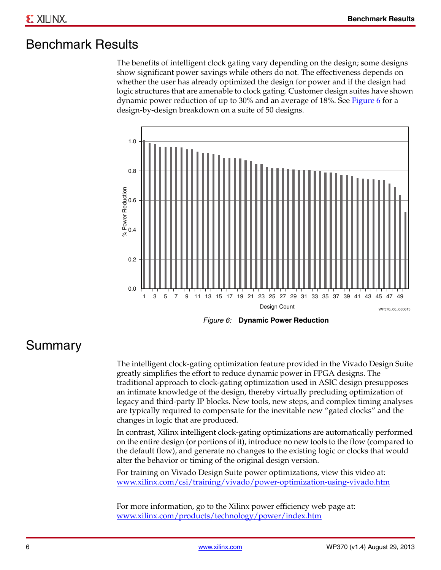#### <span id="page-5-1"></span>Benchmark Results

The benefits of intelligent clock gating vary depending on the design; some designs show significant power savings while others do not. The effectiveness depends on whether the user has already optimized the design for power and if the design had logic structures that are amenable to clock gating. Customer design suites have shown dynamic power reduction of up to 30% and an average of 18%. See [Figure 6](#page-5-0) for a design-by-design breakdown on a suite of 50 designs.

<span id="page-5-0"></span>

#### *Figure 6:* **Dynamic Power Reduction**

#### <span id="page-5-2"></span>Summary

The intelligent clock-gating optimization feature provided in the Vivado Design Suite greatly simplifies the effort to reduce dynamic power in FPGA designs. The traditional approach to clock-gating optimization used in ASIC design presupposes an intimate knowledge of the design, thereby virtually precluding optimization of legacy and third-party IP blocks. New tools, new steps, and complex timing analyses are typically required to compensate for the inevitable new "gated clocks" and the changes in logic that are produced.

In contrast, Xilinx intelligent clock-gating optimizations are automatically performed on the entire design (or portions of it), introduce no new tools to the flow (compared to the default flow), and generate no changes to the existing logic or clocks that would alter the behavior or timing of the original design version.

For training on Vivado Design Suite power optimizations, view this video at: www.xilinx.com/csi/training/vivado/power-optimization-using-vivado.htm

For more information, go to the Xilinx power efficiency web page at: www.xilinx.com/products/technology/power/index.htm